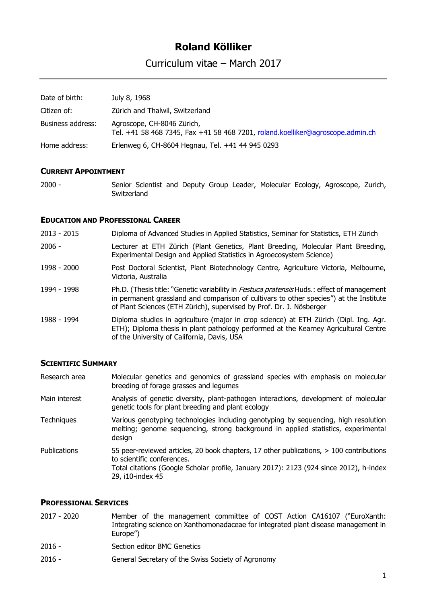# **Roland Kölliker**

Curriculum vitae – March 2017

| Date of birth:    | July 8, 1968                                                                                                 |
|-------------------|--------------------------------------------------------------------------------------------------------------|
| Citizen of:       | Zürich and Thalwil, Switzerland                                                                              |
| Business address: | Agroscope, CH-8046 Zürich,<br>Tel. +41 58 468 7345, Fax +41 58 468 7201, roland.koelliker@agroscope.admin.ch |
| Home address:     | Erlenweg 6, CH-8604 Hegnau, Tel. +41 44 945 0293                                                             |

### **CURRENT APPOINTMENT**

2000 - Senior Scientist and Deputy Group Leader, Molecular Ecology, Agroscope, Zurich, **Switzerland** 

#### **EDUCATION AND PROFESSIONAL CAREER**

- 2013 2015 Diploma of Advanced Studies in Applied Statistics, Seminar for Statistics, ETH Zürich
- 2006 Lecturer at ETH Zürich (Plant Genetics, Plant Breeding, Molecular Plant Breeding, Experimental Design and Applied Statistics in Agroecosystem Science)
- 1998 2000 Post Doctoral Scientist, Plant Biotechnology Centre, Agriculture Victoria, Melbourne, Victoria, Australia
- 1994 1998 Ph.D. (Thesis title: "Genetic variability in *Festuca pratensis* Huds.: effect of management in permanent grassland and comparison of cultivars to other species") at the Institute of Plant Sciences (ETH Zürich), supervised by Prof. Dr. J. Nösberger
- 1988 1994 Diploma studies in agriculture (major in crop science) at ETH Zürich (Dipl. Ing. Agr. ETH); Diploma thesis in plant pathology performed at the Kearney Agricultural Centre of the University of California, Davis, USA

### **SCIENTIFIC SUMMARY**

| Research area       | Molecular genetics and genomics of grassland species with emphasis on molecular<br>breeding of forage grasses and legumes                                                                                                           |
|---------------------|-------------------------------------------------------------------------------------------------------------------------------------------------------------------------------------------------------------------------------------|
| Main interest       | Analysis of genetic diversity, plant-pathogen interactions, development of molecular<br>genetic tools for plant breeding and plant ecology                                                                                          |
| <b>Techniques</b>   | Various genotyping technologies including genotyping by sequencing, high resolution<br>melting; genome sequencing, strong background in applied statistics, experimental<br>design                                                  |
| <b>Publications</b> | 55 peer-reviewed articles, 20 book chapters, 17 other publications, > 100 contributions<br>to scientific conferences.<br>Total citations (Google Scholar profile, January 2017): 2123 (924 since 2012), h-index<br>29, i10-index 45 |

### **PROFESSIONAL SERVICES**

| 2017 - 2020 | Member of the management committee of COST Action CA16107 ("EuroXanth:             |
|-------------|------------------------------------------------------------------------------------|
|             | Integrating science on Xanthomonadaceae for integrated plant disease management in |
|             | Europe")                                                                           |
| 201C        | Costian aditar DMC Conotice                                                        |

- 2016 Section editor BMC Genetics
- 2016 General Secretary of the Swiss Society of Agronomy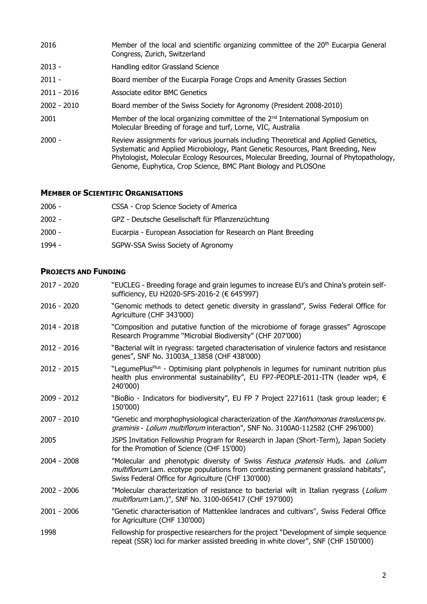| 2016          | Member of the local and scientific organizing committee of the 20 <sup>th</sup> Eucarpia General<br>Congress, Zurich, Switzerland                                                                                                                                                                                                      |
|---------------|----------------------------------------------------------------------------------------------------------------------------------------------------------------------------------------------------------------------------------------------------------------------------------------------------------------------------------------|
| $2013 -$      | Handling editor Grassland Science                                                                                                                                                                                                                                                                                                      |
| $2011 -$      | Board member of the Eucarpia Forage Crops and Amenity Grasses Section                                                                                                                                                                                                                                                                  |
| $2011 - 2016$ | Associate editor BMC Genetics                                                                                                                                                                                                                                                                                                          |
| $2002 - 2010$ | Board member of the Swiss Society for Agronomy (President 2008-2010)                                                                                                                                                                                                                                                                   |
| 2001          | Member of the local organizing committee of the $2nd$ International Symposium on<br>Molecular Breeding of forage and turf, Lorne, VIC, Australia                                                                                                                                                                                       |
| $2000 -$      | Review assignments for various journals including Theoretical and Applied Genetics,<br>Systematic and Applied Microbiology, Plant Genetic Resources, Plant Breeding, New<br>Phytologist, Molecular Ecology Resources, Molecular Breeding, Journal of Phytopathology,<br>Genome, Euphytica, Crop Science, BMC Plant Biology and PLOSOne |

## **MEMBER OF SCIENTIFIC ORGANISATIONS**

| $2006 -$ | CSSA - Crop Science Society of America                         |
|----------|----------------------------------------------------------------|
| $2002 -$ | GPZ - Deutsche Gesellschaft für Pflanzenzüchtung               |
| $2000 -$ | Eucarpia - European Association for Research on Plant Breeding |
| 1994 -   | SGPW-SSA Swiss Society of Agronomy                             |

## **PROJECTS AND FUNDING**

| 2017 - 2020   | "EUCLEG - Breeding forage and grain legumes to increase EU's and China's protein self-<br>sufficiency, EU H2020-SFS-2016-2 (€ 645'997)                                                                                        |
|---------------|-------------------------------------------------------------------------------------------------------------------------------------------------------------------------------------------------------------------------------|
| $2016 - 2020$ | "Genomic methods to detect genetic diversity in grassland", Swiss Federal Office for<br>Agriculture (CHF 343'000)                                                                                                             |
| 2014 - 2018   | "Composition and putative function of the microbiome of forage grasses" Agroscope<br>Research Programme "Microbial Biodiversity" (CHF 207'000)                                                                                |
| 2012 - 2016   | "Bacterial wilt in ryegrass: targeted characterisation of virulence factors and resistance<br>genes", SNF No. 31003A_13858 (CHF 438'000)                                                                                      |
| 2012 - 2015   | "LegumePlus <sup>Plus</sup> - Optimising plant polyphenols in legumes for ruminant nutrition plus<br>health plus environmental sustainability", EU FP7-PEOPLE-2011-ITN (leader wp4, €<br>240'000)                             |
| 2009 - 2012   | "BioBio - Indicators for biodiversity", EU FP 7 Project 2271611 (task group leader; $\epsilon$<br>150'000)                                                                                                                    |
| 2007 - 2010   | "Genetic and morphophysiological characterization of the Xanthomonas translucens pv.<br>graminis - Lolium multiflorum interaction", SNF No. 3100A0-112582 (CHF 296'000)                                                       |
| 2005          | JSPS Invitation Fellowship Program for Research in Japan (Short-Term), Japan Society<br>for the Promotion of Science (CHF 15'000)                                                                                             |
| 2004 - 2008   | "Molecular and phenotypic diversity of Swiss Festuca pratensis Huds. and Lolium<br>multiflorum Lam. ecotype populations from contrasting permanent grassland habitats",<br>Swiss Federal Office for Agriculture (CHF 130'000) |
| $2002 - 2006$ | "Molecular characterization of resistance to bacterial wilt in Italian ryegrass (Lolium<br>multiflorum Lam.)", SNF No. 3100-065417 (CHF 197'000)                                                                              |
| 2001 - 2006   | "Genetic characterisation of Mattenklee landraces and cultivars", Swiss Federal Office<br>for Agriculture (CHF 130'000)                                                                                                       |
| 1998          | Fellowship for prospective researchers for the project "Development of simple sequence<br>repeat (SSR) loci for marker assisted breeding in white clover", SNF (CHF 150'000)                                                  |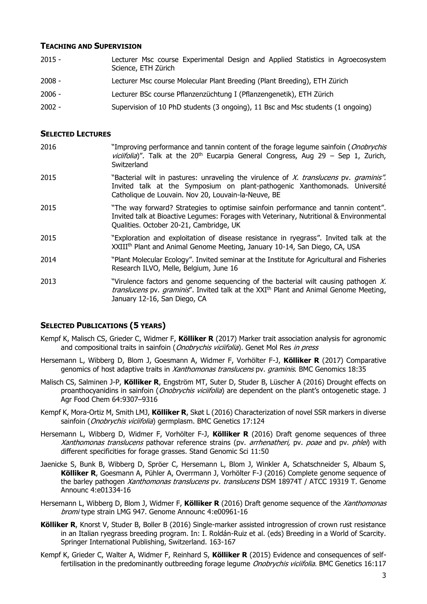### **TEACHING AND SUPERVISION**

 - Lecturer Msc course Experimental Design and Applied Statistics in Agroecosystem Science, ETH Zürich - Lecturer Msc course Molecular Plant Breeding (Plant Breeding), ETH Zürich - Lecturer BSc course Pflanzenzüchtung I (Pflanzengenetik), ETH Zürich - Supervision of 10 PhD students (3 ongoing), 11 Bsc and Msc students (1 ongoing)

### **SELECTED LECTURES**

- 2016 "Improving performance and tannin content of the forage legume sainfoin (*Onobrychis* viciifolia)". Talk at the  $20<sup>th</sup>$  Eucarpia General Congress, Aug 29 – Sep 1, Zurich, Switzerland
- 2015 "Bacterial wilt in pastures: unraveling the virulence of X. translucens pv. graminis". Invited talk at the Symposium on plant-pathogenic Xanthomonads. Université Catholique de Louvain. Nov 20, Louvain-la-Neuve, BE
- 2015 "The way forward? Strategies to optimise sainfoin performance and tannin content". Invited talk at Bioactive Legumes: Forages with Veterinary, Nutritional & Environmental Qualities. October 20-21, Cambridge, UK
- 2015 "Exploration and exploitation of disease resistance in ryegrass". Invited talk at the XXIIIth Plant and Animal Genome Meeting, January 10-14, San Diego, CA, USA
- 2014 "Plant Molecular Ecology". Invited seminar at the Institute for Agricultural and Fisheries Research ILVO, Melle, Belgium, June 16
- 2013 "Virulence factors and genome sequencing of the bacterial wilt causing pathogen  $X$ . translucens pv. graminis". Invited talk at the XXI<sup>th</sup> Plant and Animal Genome Meeting, January 12-16, San Diego, CA

### **SELECTED PUBLICATIONS (5 YEARS)**

- Kempf K, Malisch CS, Grieder C, Widmer F, **Kölliker R** (2017) Marker trait association analysis for agronomic and compositional traits in sainfoin (*Onobrychis viciifolia*). Genet Mol Res in press
- Hersemann L, Wibberg D, Blom J, Goesmann A, Widmer F, Vorhölter F-J, **Kölliker R** (2017) Comparative genomics of host adaptive traits in Xanthomonas translucens pv. graminis. BMC Genomics 18:35
- Malisch CS, Salminen J-P, **Kölliker R**, Engström MT, Suter D, Studer B, Lüscher A (2016) Drought effects on proanthocyanidins in sainfoin (*Onobrychis viciifolia*) are dependent on the plant's ontogenetic stage. J Agr Food Chem 64:9307–9316
- Kempf K, Mora-Ortiz M, Smith LMJ, **Kölliker R**, Skøt L (2016) Characterization of novel SSR markers in diverse sainfoin (Onobrychis viciifolia) germplasm. BMC Genetics 17:124
- Hersemann L, Wibberg D, Widmer F, Vorhölter F-J, **Kölliker R** (2016) Draft genome sequences of three Xanthomonas translucens pathovar reference strains (pv. arrhenatheri, pv. poae and pv. phlei) with different specificities for forage grasses. Stand Genomic Sci 11:50
- Jaenicke S, Bunk B, Wibberg D, Spröer C, Hersemann L, Blom J, Winkler A, Schatschneider S, Albaum S, **Kölliker R**, Goesmann A, Pühler A, Overrmann J, Vorhölter F-J (2016) Complete genome sequence of the barley pathogen *Xanthomonas translucens* pv. *translucens* DSM 18974T / ATCC 19319 T. Genome Announc 4:e01334-16
- Hersemann L, Wibberg D, Blom J, Widmer F, **Kölliker R** (2016) Draft genome sequence of the Xanthomonas bromi type strain LMG 947. Genome Announc 4:e00961-16
- **Kölliker R**, Knorst V, Studer B, Boller B (2016) Single-marker assisted introgression of crown rust resistance in an Italian ryegrass breeding program. In: I. Roldán-Ruiz et al. (eds) Breeding in a World of Scarcity. Springer International Publishing, Switzerland. 163-167
- Kempf K, Grieder C, Walter A, Widmer F, Reinhard S, **Kölliker R** (2015) Evidence and consequences of selffertilisation in the predominantly outbreeding forage legume *Onobrychis viciifolia*. BMC Genetics 16:117